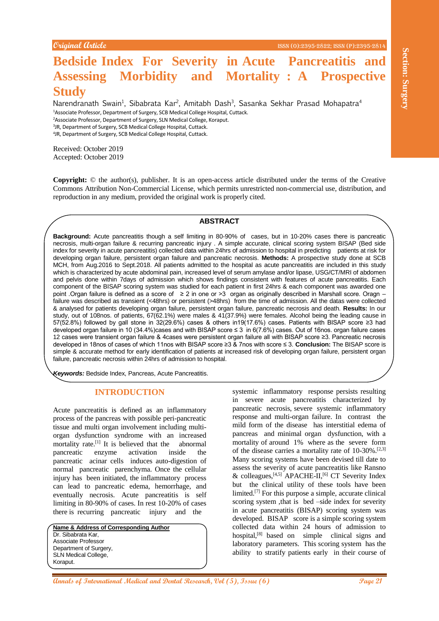# **Bedside Index For Severity in Acute Pancreatitis and Assessing Morbidity and Mortality : A Prospective Study**

Narendranath Swain<sup>1</sup>, Sibabrata Kar<sup>2</sup>, Amitabh Dash<sup>3</sup>, Sasanka Sekhar Prasad Mohapatra<sup>4</sup> Associate Professor, Department of Surgery, SCB Medical College Hospital, Cuttack. Associate Professor, Department of Surgery, SLN Medical College, Koraput. JR, Department of Surgery, SCB Medical College Hospital, Cuttack. JR, Department of Surgery, SCB Medical College Hospital, Cuttack.

Received: October 2019 Accepted: October 2019

**Copyright:** © the author(s), publisher. It is an open-access article distributed under the terms of the Creative Commons Attribution Non-Commercial License, which permits unrestricted non-commercial use, distribution, and reproduction in any medium, provided the original work is properly cited.

### **ABSTRACT**

**Beckside Index For Severity in Acute Panncreatitis and<br>
Ansassing Morbidity and Mortality: A Prospective<br>
Study and Medical Annals of Annal Medical Burls, Susania Schien Pannal Meloquine<br>
Study and Schien Schien Schien S Background:** Acute pancreatitis though a self limiting in 80-90% of cases, but in 10-20% cases there is pancreatic necrosis, multi-organ failure & recurring pancreatic injury . A simple accurate, clinical scoring system BISAP (Bed side index for severity in acute pancreatitis) collected data within 24hrs of admission to hospital in predicting patients at risk for developing organ failure, persistent organ failure and pancreatic necrosis. **Methods:** A prospective study done at SCB MCH, from Aug.2016 to Sept.2018. All patients admitted to the hospital as acute pancreatitis are included in this study which is characterized by acute abdominal pain, increased level of serum amylase and/or lipase, USG/CT/MRI of abdomen and pelvis done within 7days of admission which shows findings consistent with features of acute pancreatitis. Each component of the BISAP scoring system was studied for each patient in first 24hrs & each component was awarded one point .Organ failure is defined as a score of ≥ 2 in one or >3 organ as originally described in Marshall score. Oragn – failure was described as transient (<48hrs) or persistent (>48hrs) from the time of admission. All the datas were collected & analysed for patients developing organ failure, persistent organ failure, pancreatic necrosis and death. **Results:** In our study, out of 108nos. of patients, 67(62.1%) were males & 41(37.9%) were females. Alcohol being the leading cause in 57(52.8%) followed by gall stone in 32(29.6%) cases & others in19(17.6%) cases. Patients with BISAP score ≥3 had developed organ failure in 10 (34.4%)cases and with BISAP score ≤ 3 in 6(7.6%) cases. Out of 16nos. organ failure cases 12 cases were transient organ failure & 4cases were persistent organ failure all with BISAP score ≥3. Pancreatic necrosis developed in 18nos of cases of which 11nos with BISAP score ≥3 & 7nos with score ≤ 3. **Conclusion:** The BISAP score is simple & accurate method for early identification of patients at increased risk of developing organ failure, persistent organ failure, pancreatic necrosis within 24hrs of admission to hospital.

*Keywords:* Bedside Index, Pancreas, Acute Pancreatitis.

## **INTRODUCTION**

Acute pancreatitis is defined as an inflammatory process of the pancreas with possible peri-pancreatic tissue and multi organ involvement including multiorgan dysfunction syndrome with an increased mortality rate.<sup>[1]</sup> It is believed that the abnormal pancreatic enzyme activation inside the pancreatic acinar cells induces auto-digestion of normal pancreatic parenchyma. Once the cellular injury has been initiated, the inflammatory process can lead to pancreatic edema, hemorrhage, and eventually necrosis. Acute pancreatitis is self limiting in 80-90% of cases. In rest 10-20% of cases there is recurring pancreatic injury and the

**Name & Address of Corresponding Author** Dr. Sibabrata Kar, Associate Professor Department of Surgery, SLN Medical College, Koraput.

systemic inflammatory response persists resulting in severe acute pancreatitis characterized by pancreatic necrosis, severe systemic inflammatory response and multi-organ failure. In contrast the mild form of the disease has interstitial edema of pancreas and minimal organ dysfunction, with a mortality of around 1% where as the severe form of the disease carries a mortality rate of 10-30%.<sup>[2,3]</sup> Many scoring systems have been devised till date to assess the severity of acute pancreatitis like Ransno & colleagues, <a>[4,5]</a> APACHE-II,<a>[6]</a> CT Severity Index but the clinical utility of these tools have been limited.[7] For this purpose a simple, accurate clinical scoring system ,that is bed –side index for severity in acute pancreatitis (BISAP) scoring system was developed. BISAP score is a simple scoring system collected data within 24 hours of admission to hospital,<sup>[8]</sup> based on simple clinical signs and laboratory parameters. This scoring system has the ability to stratify patients early in their course of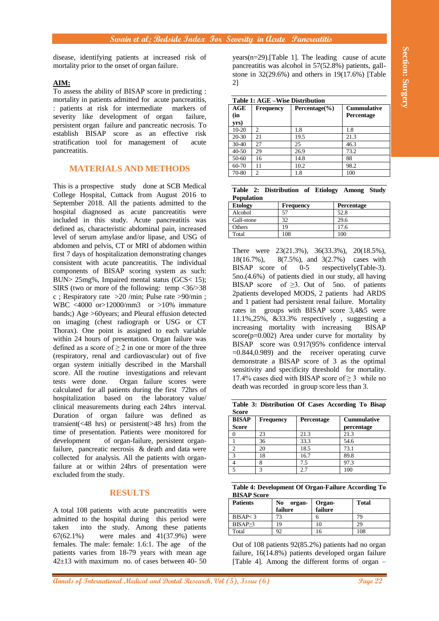disease, identifying patients at increased risk of mortality prior to the onset of organ failure.

## **AIM:**

To assess the ability of BISAP score in predicting : mortality in patients admitted for acute pancreatitis, : patients at risk for intermediate markers of severity like development of organ failure, persistent organ failure and pancreatic necrosis. To establish BISAP score as an effective risk stratification tool for management of acute pancreatitis.

# **MATERIALS AND METHODS**

**Also states the state of International Medical and The Uniternational Medical and Control international Medical and Control international Medical and Control international Medical Control international Medical Control int** This is a prospective study done at SCB Medical College Hospital, Cuttack from August 2016 to September 2018. All the patients admitted to the hospital diagnosed as acute pancreatitis were included in this study. Acute pancreatitis was defined as, characteristic abdominal pain, increased level of serum amylase and/or lipase, and USG of abdomen and pelvis, CT or MRI of abdomen within first 7 days of hospitalization demonstrating changes consistent with acute pancreatitis. The individual components of BISAP scoring system as such: BUN> 25mg%, Impaired mental status (GCS< 15); SIRS (two or more of the following: temp <36/>38 c ; Respiratory rate  $>20$  /min; Pulse rate  $>90$ /min; WBC <4000 or>12000/mm3 or >10% immature bands;) Age >60years; and Pleural effusion detected on imaging (chest radiograph or USG or CT Thorax). One point is assigned to each variable within 24 hours of presentation. Organ failure was defined as a score of  $\geq 2$  in one or more of the three (respiratory, renal and cardiovascular) out of five organ system initially described in the Marshall score. All the routine investigations and relevant tests were done. Organ failure scores were calculated for all patients during the first 72hrs of hospitalization based on the laboratory value/ clinical measurements during each 24hrs interval. Duration of organ failure was defined as transient(<48 hrs) or persistent(>48 hrs) from the time of presentation. Patients were monitored for development of organ-failure, persistent organfailure, pancreatic necrosis & death and data were collected for analysis. All the patients with organfailure at or within 24hrs of presentation were excluded from the study.

# **RESULTS**

A total 108 patients with acute pancreatitis were admitted to the hospital during this period were taken into the study. Among these patients 67(62.1%) were males and 41(37.9%) were females. The male: female: 1.6:1. The age of the patients varies from 18-79 years with mean age  $42\pm13$  with maximum no. of cases between 40- 50

years(n=29).[Table 1]. The leading cause of acute pancreatitis was alcohol in 57(52.8%) patients, gallstone in 32(29.6%) and others in 19(17.6%) [Table 2]

| <b>Table 1: AGE -Wise Distribution</b> |                |                    |                                         |  |
|----------------------------------------|----------------|--------------------|-----------------------------------------|--|
| AGE<br>(in                             | Frequency      | Percentage $(\% )$ | <b>Cummulative</b><br><b>Percentage</b> |  |
| yrs)                                   |                |                    |                                         |  |
| $10 - 20$                              | $\overline{c}$ | 1.8                | 1.8                                     |  |
| $20 - 30$                              | 21             | 19.5               | 21.3                                    |  |
| $30-40$                                | 27             | 25                 | 46.3                                    |  |
| $40 - 50$                              | 29             | 26.9               | 73.2                                    |  |
| $50 - 60$                              | 16             | 14.8               | 88                                      |  |
| $60 - 70$                              | 11             | 10.2               | 98.2                                    |  |
| 70-80                                  | 2              | 1.8                | 100                                     |  |

|                   | Table 2: Distribution of Etiology Among Study |  |  |
|-------------------|-----------------------------------------------|--|--|
| <b>Population</b> |                                               |  |  |

| <b>Etology</b> | Frequency | <b>Percentage</b> |
|----------------|-----------|-------------------|
| Alcohol        | 57        | 52.8              |
| Gall-stone     | 32        | 29.6              |
| Others         | 19        | 17.6              |
| Total          | 108       | 100               |

There were 23(21.3%), 36(33.3%), 20(18.5%), 18(16.7%), 8(7.5%), and 3(2.7%) cases with BISAP score of 0-5 respectively(Table-3). 5no.(4.6%) of patients died in our study, all having BISAP score of  $\geq$ 3. Out of 5no. of patients 2patients developed MODS, 2 patients had ARDS and 1 patient had persistent renal failure. Mortality rates in groups with BISAP score 3,4&5 were 11.1%,25%, &33.3% respectively , suggesting a increasing mortality with increasing BISAP score( $p=0.002$ ) Area under curve for mortality by BISAP score was 0.917(95% confidence interval  $=0.844, 0.989$  and the receiver operating curve demonstrate a BISAP score of 3 as the optimal sensitivity and specificity threshold for mortality. 17.4% cases died with BISAP score of  $\geq$  3 while no death was recorded in group score less than 3.

**Table 3: Distribution Of Cases According To Bisap Score**

| <b>BISAP</b><br><b>Score</b> | <b>Frequency</b> | <b>Percentage</b> | <b>Cummulative</b><br>percentage |
|------------------------------|------------------|-------------------|----------------------------------|
|                              | 23               | 21.3              | 21.3                             |
|                              | 36               | 33.3              | 54.6                             |
|                              | 20               | 18.5              | 73.1                             |
|                              | 18               | 16.7              | 89.8                             |
|                              |                  | 7.5               | 97.3                             |
|                              |                  | 2.7               | 100                              |

**Table 4: Development Of Organ-Failure According To BISAP Score**

| <b>Patients</b> | No<br>organ-<br>failure | Organ-<br>failure | <b>Total</b> |
|-----------------|-------------------------|-------------------|--------------|
| BISAP < 3       | 73                      |                   | 79           |
| BISAP > 3       | 19                      | 10                | 2S           |
| Total           | 92                      | 16                | 108          |

Out of 108 patients 92(85.2%) patients had no organ failure, 16(14.8%) patients developed organ failure [Table 4]. Among the different forms of organ –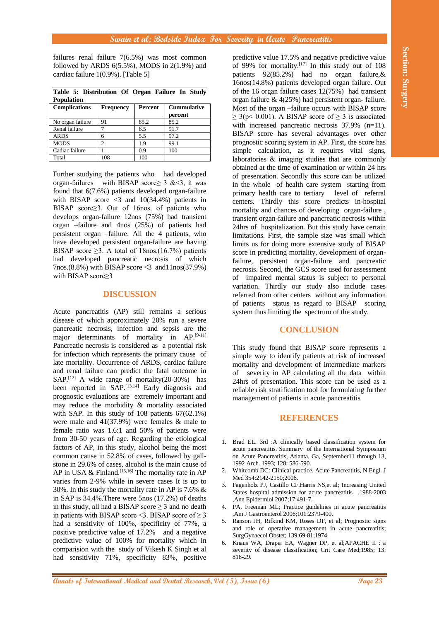failures renal failure 7(6.5%) was most common followed by ARDS  $6(5.5\%)$ , MODS in  $2(1.9\%)$  and cardiac failure 1(0.9%). [Table 5]

| <b>Population</b>    |           |         |                               |
|----------------------|-----------|---------|-------------------------------|
| <b>Complications</b> | Frequency | Percent | <b>Cummulative</b><br>percent |
| No organ failure     | 91        | 85.2    | 85.2                          |
| Renal failure        |           | 6.5     | 91.7                          |
| <b>ARDS</b>          | 6         | 5.5     | 97.2                          |
| <b>MODS</b>          | っ         | 19      | 99.1                          |
| Cadiac failure       |           | 0.9     | 100                           |
| Total                | 108       | 100     |                               |

**Table 5: Distribution Of Organ Failure In Study** 

Further studying the patients who had developed organ-failures with BISAP score $\geq$  3 &  $\lt$ 3, it was found that 6(7.6%) patients developed organ-failure with BISAP score  $\lt3$  and 10(34.4%) patients in BISAP score≥3. Out of 16nos. of patients who develops organ-failure 12nos (75%) had transient organ –failure and 4nos (25%) of patients had persistent organ –failure. All the 4 patients, who have developed persistent organ-failure are having BISAP score  $\geq$ 3. A total of 18nos.(16.7%) patients had developed pancreatic necrosis of which 7nos.(8.8%) with BISAP score <3 and11nos(37.9%) with BISAP score≥3

### **DISCUSSION**

Acute pancreatitis (AP) still remains a serious disease of which approximately 20% run a severe pancreatic necrosis, infection and sepsis are the major determinants of mortality in AP.<sup>[9-11]</sup> Pancreatic necrosis is considered as a potential risk for infection which represents the primary cause of late mortality. Occurrence of ARDS, cardiac failure and renal failure can predict the fatal outcome in SAP.<sup>[12]</sup> A wide range of mortality(20-30%) has been reported in SAP.<sup>[13,14]</sup> Early diagnosis and prognostic evaluations are extremely important and may reduce the morbidity & mortality associated with SAP. In this study of 108 patients 67(62.1%) were male and 41(37.9%) were females & male to female ratio was 1.6:1 and 50% of patients were from 30-50 years of age. Regarding the etiological factors of AP, in this study, alcohol being the most common cause in 52.8% of cases, followed by gallstone in 29.6% of cases, alcohol is the main cause of AP in USA  $\&$  Finland.<sup>[15,16]</sup> The mortality rate in AP varies from 2-9% while in severe cases It is up to 30%. In this study the mortality rate in AP is 7.6% & in SAP is 34.4%.There were 5nos (17.2%) of deaths in this study, all had a BISAP score  $\geq$  3 and no death in patients with BISAP score  $\leq$ 3. BISAP score of  $\geq$ 3 had a sensitivity of 100%, specificity of 77%, a positive predictive value of 17.2% and a negative predictive value of 100% for mortality which in comparision with the study of Vikesh K Singh et al had sensitivity 71%, specificity 83%, positive

**Alternative School (1)** Ann and Consults of International Medical and The main specific value of Consults of International Medical and The main specific value of Consults of International Consults of International Consul predictive value 17.5% and negative predictive value of 99% for mortality.<sup>[17]</sup> In this study out of 108 patients 92(85.2%) had no organ failure,& 16nos(14.8%) patients developed organ failure. Out of the 16 organ failure cases 12(75%) had transient organ failure  $\&$  4(25%) had persistent organ-failure. Most of the organ –failure occurs with BISAP score  $\geq$  3(p< 0.001). A BISAP score of  $\geq$  3 is associated with increased pancreatic necrosis 37.9% (n=11). BISAP score has several advantages over other prognostic scoring system in AP. First, the score has simple calculation, as it requires vital signs, laboratories & imaging studies that are commonly obtained at the time of examination or within 24 hrs of presentation. Secondly this score can be utilized in the whole of health care system starting from primary health care to tertiary level of referral centers. Thirdly this score predicts in-hospital mortality and chances of developing organ-failure , transient organ-failure and pancreatic necrosis within 24hrs of hospitalization. But this study have certain limitations. First, the sample size was small which limits us for doing more extensive study of BISAP score in predicting mortality, development of organfailure, persistent organ-failure and pancreatic necrosis. Second, the GCS score used for assessment of impaired mental status is subject to personal variation. Thirdly our study also include cases referred from other centers without any information of patients status as regard to BISAP scoring system thus limiting the spectrum of the study.

## **CONCLUSION**

This study found that BISAP score represents a simple way to identify patients at risk of increased mortality and development of intermediate markers of severity in AP calculating all the data within 24hrs of presentation. This score can be used as a reliable risk stratification tool for formulating further management of patients in acute pancreatitis

### **REFERENCES**

- 1. Brad EL. 3rd :A clinically based classification system for acute pancreatitis. Summary of the International Symposium on Acute Pancreatitis, Atlanta, Ga, September11 through 13, 1992 Arch. 1993; 128: 586-590.
- 2. Whitcomb DC: Clinical practice, Acute Pancreatitis, N Engl. J Med 354:2142-2150;2006.
- 3. Fagenholz PJ, Castillo CF,Harris NS,et al; Increasing United States hospital admission for acute pancreatitis ,1988-2003 ,Ann Epidermiol 2007;17:491-7.
- 4. PA, Freeman ML; Practice guidelines in acute pancreatitis ,Am J Gastroenterol 2006;101:2379-400.
- 5. Ranson JH, Rifkind KM, Roses DF, et al; Prognostic signs and role of operative management in acute pancreatitis; SurgGynaecol Obstet; 139:69-81;1974.
- 6. Knaus WA, Draper EA, Wagner DP, et al;APACHE II : a severity of disease classification; Crit Care Med;1985; 13: 818-29.